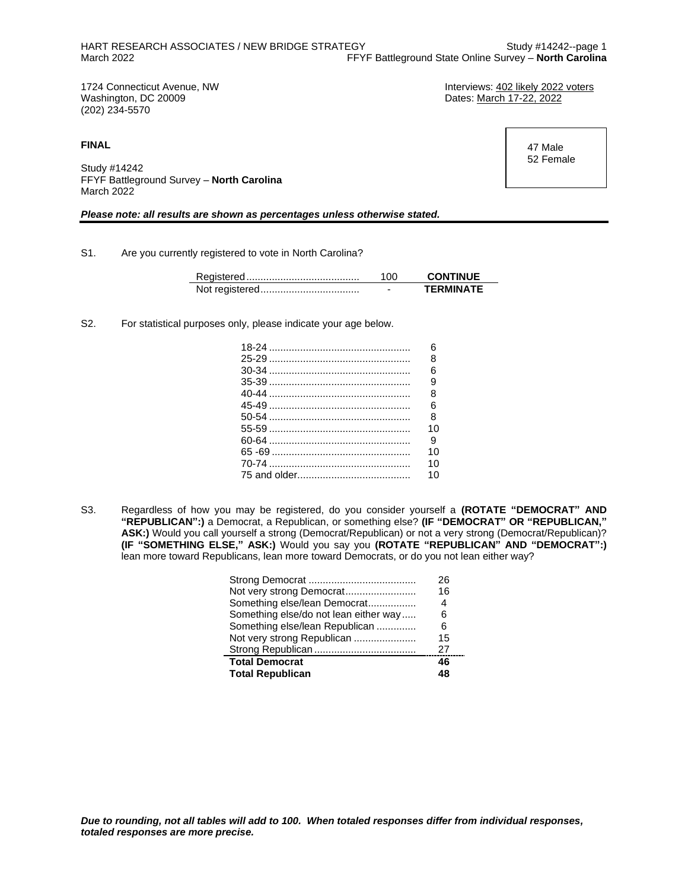(202) 234-5570

**FINAL**

Study #14242 FFYF Battleground Survey – **North Carolina** March 2022

#### *Please note: all results are shown as percentages unless otherwise stated.*

S1. Are you currently registered to vote in North Carolina?

| 100 | <b>CONTINUE</b>  |
|-----|------------------|
|     | <b>TFRMINATF</b> |

S2. For statistical purposes only, please indicate your age below.

 $\overline{\phantom{0}}$ 

| հ<br>8 |
|--------|
|        |
|        |
| ิค     |
| 9      |
| 8      |
| 6      |
| 8      |
| 10     |
| 9      |
| 10     |
| 10     |
| 10     |

S3. Regardless of how you may be registered, do you consider yourself a **(ROTATE "DEMOCRAT" AND "REPUBLICAN":)** a Democrat, a Republican, or something else? **(IF "DEMOCRAT" OR "REPUBLICAN," ASK:)** Would you call yourself a strong (Democrat/Republican) or not a very strong (Democrat/Republican)? **(IF "SOMETHING ELSE," ASK:)** Would you say you **(ROTATE "REPUBLICAN" AND "DEMOCRAT":)** lean more toward Republicans, lean more toward Democrats, or do you not lean either way?

|                                       | 26 |
|---------------------------------------|----|
| Not very strong Democrat              | 16 |
| Something else/lean Democrat          | 4  |
| Something else/do not lean either way | 6  |
| Something else/lean Republican        | 6  |
| Not very strong Republican            | 15 |
|                                       | 27 |
| <b>Total Democrat</b>                 | 46 |
| <b>Total Republican</b>               | 48 |

1724 Connecticut Avenue, NW **Interviews: 402 likely 2022 voters**<br>
Washington, DC 20009<br>
Unterviews: 402 likely 2022 Dates: March 17-22, 2022

> 47 Male 52 Female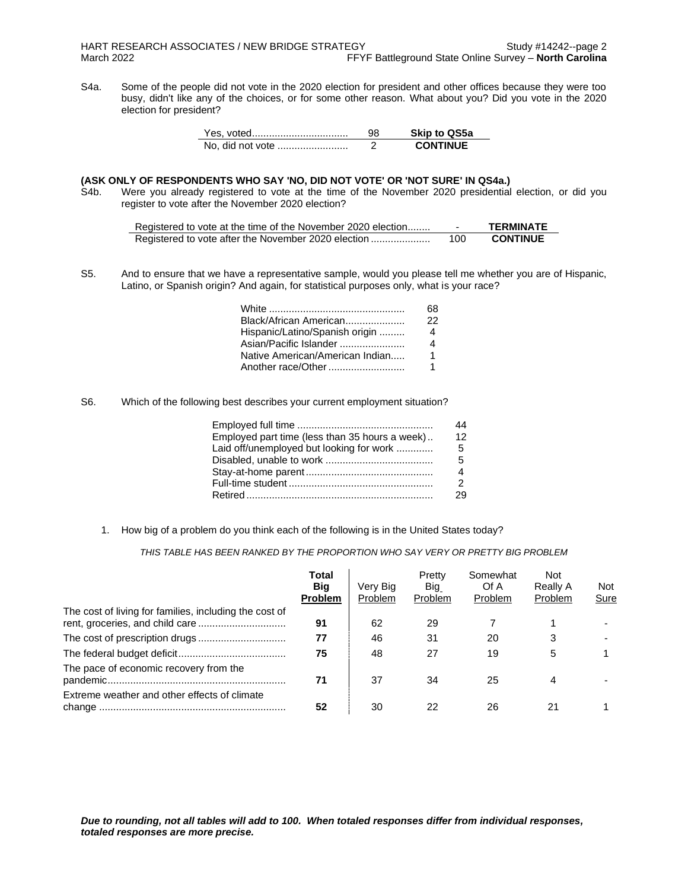S4a. Some of the people did not vote in the 2020 election for president and other offices because they were too busy, didn't like any of the choices, or for some other reason. What about you? Did you vote in the 2020 election for president?

| Yes, voted       | 98 | <b>Skip to QS5a</b> |
|------------------|----|---------------------|
| No, did not vote |    | <b>CONTINUE</b>     |

## **(ASK ONLY OF RESPONDENTS WHO SAY 'NO, DID NOT VOTE' OR 'NOT SURE' IN QS4a.)**

S4b. Were you already registered to vote at the time of the November 2020 presidential election, or did you register to vote after the November 2020 election?

| Registered to vote at the time of the November 2020 election |     | <b>TERMINATE</b> |
|--------------------------------------------------------------|-----|------------------|
|                                                              | 100 | <b>CONTINUE</b>  |

S5. And to ensure that we have a representative sample, would you please tell me whether you are of Hispanic, Latino, or Spanish origin? And again, for statistical purposes only, what is your race?

|                                 | 68  |
|---------------------------------|-----|
| Black/African American          | 22. |
| Hispanic/Latino/Spanish origin  | 4   |
| Asian/Pacific Islander          |     |
| Native American/American Indian | 1   |
| Another race/Other              |     |

S6. Which of the following best describes your current employment situation?

|                                                | 44 |
|------------------------------------------------|----|
| Employed part time (less than 35 hours a week) | 12 |
| Laid off/unemployed but looking for work       | 5  |
|                                                | 5  |
|                                                | 4  |
|                                                | 2  |
|                                                | 29 |

1. How big of a problem do you think each of the following is in the United States today?

*THIS TABLE HAS BEEN RANKED BY THE PROPORTION WHO SAY VERY OR PRETTY BIG PROBLEM*

|                                                        | Total<br><b>Big</b><br><b>Problem</b> | Very Big<br>Problem | Pretty<br>Big<br>Problem | Somewhat<br>Of A<br><b>Problem</b> | Not<br>Really A<br>Problem | Not<br>Sure |
|--------------------------------------------------------|---------------------------------------|---------------------|--------------------------|------------------------------------|----------------------------|-------------|
| The cost of living for families, including the cost of | 91                                    | 62                  | 29                       |                                    |                            |             |
|                                                        | 77                                    | 46                  | 31                       | 20                                 | 3                          |             |
|                                                        | 75                                    | 48                  | 27                       | 19                                 | 5                          |             |
| The pace of economic recovery from the                 | 71                                    | 37                  | 34                       | 25                                 | 4                          |             |
| Extreme weather and other effects of climate           | 52                                    | 30                  | 22                       | 26                                 | 21                         |             |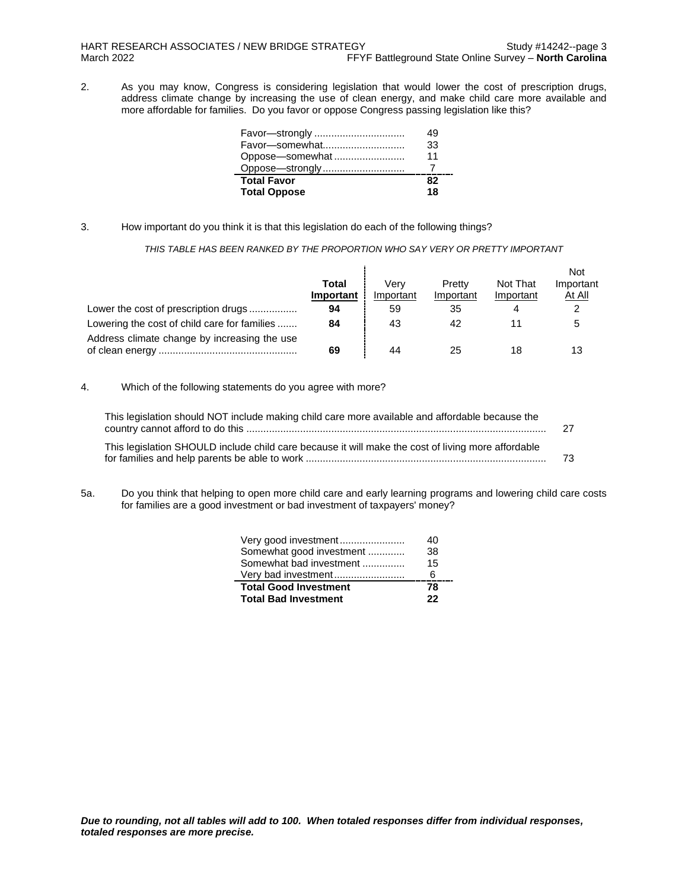2. As you may know, Congress is considering legislation that would lower the cost of prescription drugs, address climate change by increasing the use of clean energy, and make child care more available and more affordable for families. Do you favor or oppose Congress passing legislation like this?

| Favor-strongly      | 19 |
|---------------------|----|
| Favor-somewhat      | 33 |
| Oppose-somewhat     | 11 |
|                     |    |
| <b>Total Favor</b>  | R7 |
| <b>Total Oppose</b> | 18 |

3. How important do you think it is that this legislation do each of the following things?

*THIS TABLE HAS BEEN RANKED BY THE PROPORTION WHO SAY VERY OR PRETTY IMPORTANT*

|                                              |           |           |           |           | <b>Not</b> |
|----------------------------------------------|-----------|-----------|-----------|-----------|------------|
|                                              | Total     | Verv      | Pretty    | Not That  | Important  |
|                                              | Important | Important | Important | Important | At All     |
| Lower the cost of prescription drugs         | 94        | 59        | 35        | 4         |            |
| Lowering the cost of child care for families | 84        | 43        | 42        |           |            |
| Address climate change by increasing the use |           |           |           |           |            |
|                                              | 69        | 44        | 25        | 18        | 13         |

4. Which of the following statements do you agree with more?

| This legislation should NOT include making child care more available and affordable because the    | -27 |
|----------------------------------------------------------------------------------------------------|-----|
| This legislation SHOULD include child care because it will make the cost of living more affordable | -73 |

5a. Do you think that helping to open more child care and early learning programs and lowering child care costs for families are a good investment or bad investment of taxpayers' money?

| Very good investment         | 40  |
|------------------------------|-----|
| Somewhat good investment     | 38. |
| Somewhat bad investment      | 15  |
| Very bad investment          | հ   |
| <b>Total Good Investment</b> | 78  |
| <b>Total Bad Investment</b>  | 22  |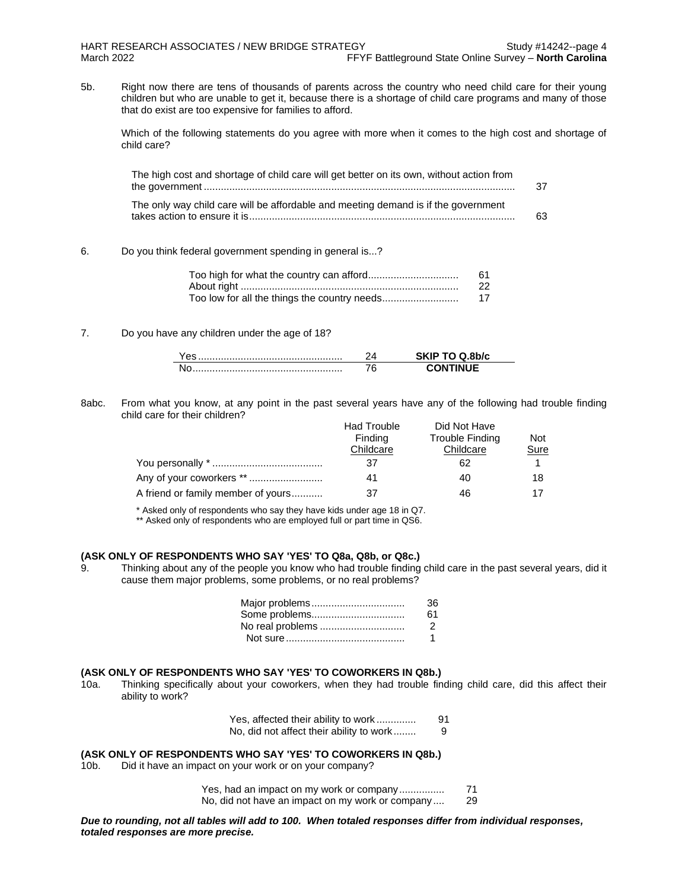5b. Right now there are tens of thousands of parents across the country who need child care for their young children but who are unable to get it, because there is a shortage of child care programs and many of those that do exist are too expensive for families to afford.

Which of the following statements do you agree with more when it comes to the high cost and shortage of child care?

| The high cost and shortage of child care will get better on its own, without action from | 37 |
|------------------------------------------------------------------------------------------|----|
| The only way child care will be affordable and meeting demand is if the government       | 63 |

#### 6. Do you think federal government spending in general is...?

| 61 |
|----|
| 22 |
| 17 |

#### 7. Do you have any children under the age of 18?

8abc. From what you know, at any point in the past several years have any of the following had trouble finding child care for their children?

|                                    | <b>Had Trouble</b> | Did Not Have    |            |
|------------------------------------|--------------------|-----------------|------------|
|                                    | Finding            | Trouble Finding | <b>Not</b> |
|                                    | Childcare          | Childcare       | Sure       |
|                                    | 37                 | 62              |            |
| Any of your coworkers **           | 41                 | 40              | 18         |
| A friend or family member of yours | 37                 | 46              | 17         |

\* Asked only of respondents who say they have kids under age 18 in Q7.

\*\* Asked only of respondents who are employed full or part time in QS6.

## **(ASK ONLY OF RESPONDENTS WHO SAY 'YES' TO Q8a, Q8b, or Q8c.)**

9. Thinking about any of the people you know who had trouble finding child care in the past several years, did it cause them major problems, some problems, or no real problems?

| Major problems   | 36            |
|------------------|---------------|
| Some problems    | 61            |
| No real problems | $\mathcal{P}$ |
|                  |               |

#### **(ASK ONLY OF RESPONDENTS WHO SAY 'YES' TO COWORKERS IN Q8b.)**

10a. Thinking specifically about your coworkers, when they had trouble finding child care, did this affect their ability to work?

| Yes, affected their ability to work      | 91 |
|------------------------------------------|----|
| No, did not affect their ability to work |    |

#### **(ASK ONLY OF RESPONDENTS WHO SAY 'YES' TO COWORKERS IN Q8b.)**

10b. Did it have an impact on your work or on your company?

Yes, had an impact on my work or company................ 71 No, did not have an impact on my work or company .... 29

*Due to rounding, not all tables will add to 100. When totaled responses differ from individual responses, totaled responses are more precise.*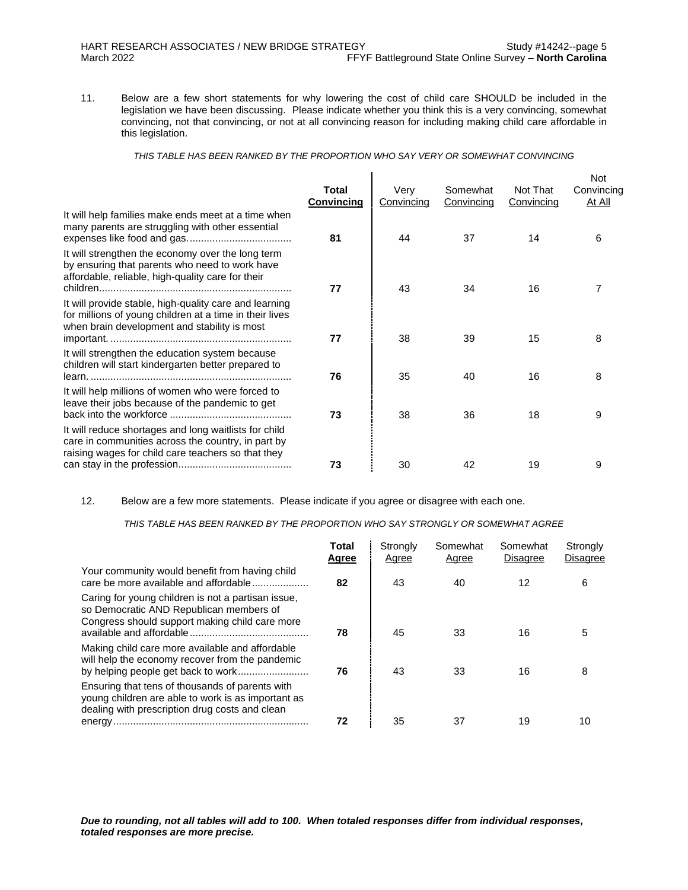11. Below are a few short statements for why lowering the cost of child care SHOULD be included in the legislation we have been discussing. Please indicate whether you think this is a very convincing, somewhat convincing, not that convincing, or not at all convincing reason for including making child care affordable in this legislation.

*THIS TABLE HAS BEEN RANKED BY THE PROPORTION WHO SAY VERY OR SOMEWHAT CONVINCING*

| <b>Total</b><br>Convincing | Very<br>Convincing | Somewhat<br>Convincing | Not That<br>Convincing | <b>Not</b><br>Convincing<br>At All |
|----------------------------|--------------------|------------------------|------------------------|------------------------------------|
| 81                         | 44                 | 37                     | 14                     | 6                                  |
| 77                         | 43                 | 34                     | 16                     | 7                                  |
| 77                         | 38                 | 39                     | 15                     | 8                                  |
| 76                         | 35                 | 40                     | 16                     | 8                                  |
| 73                         | 38                 | 36                     | 18                     | 9                                  |
| 73                         | 30                 | 42                     | 19                     | 9                                  |
|                            |                    |                        |                        |                                    |

12. Below are a few more statements. Please indicate if you agree or disagree with each one.

*THIS TABLE HAS BEEN RANKED BY THE PROPORTION WHO SAY STRONGLY OR SOMEWHAT AGREE*

|                                                                                                                                                         | <b>Total</b><br>Agree | Strongly<br>Agree | Somewhat<br>Agree | Somewhat<br><b>Disagree</b> | Strongly<br><b>Disagree</b> |
|---------------------------------------------------------------------------------------------------------------------------------------------------------|-----------------------|-------------------|-------------------|-----------------------------|-----------------------------|
| Your community would benefit from having child<br>care be more available and affordable                                                                 | 82                    | 43                | 40                | 12                          | 6                           |
| Caring for young children is not a partisan issue,<br>so Democratic AND Republican members of<br>Congress should support making child care more         | 78                    | 45                | 33                | 16                          |                             |
| Making child care more available and affordable<br>will help the economy recover from the pandemic                                                      | 76                    | 43                | 33                | 16                          | 8                           |
| Ensuring that tens of thousands of parents with<br>young children are able to work is as important as<br>dealing with prescription drug costs and clean | 72                    | 35                | 37                | 19                          | 10                          |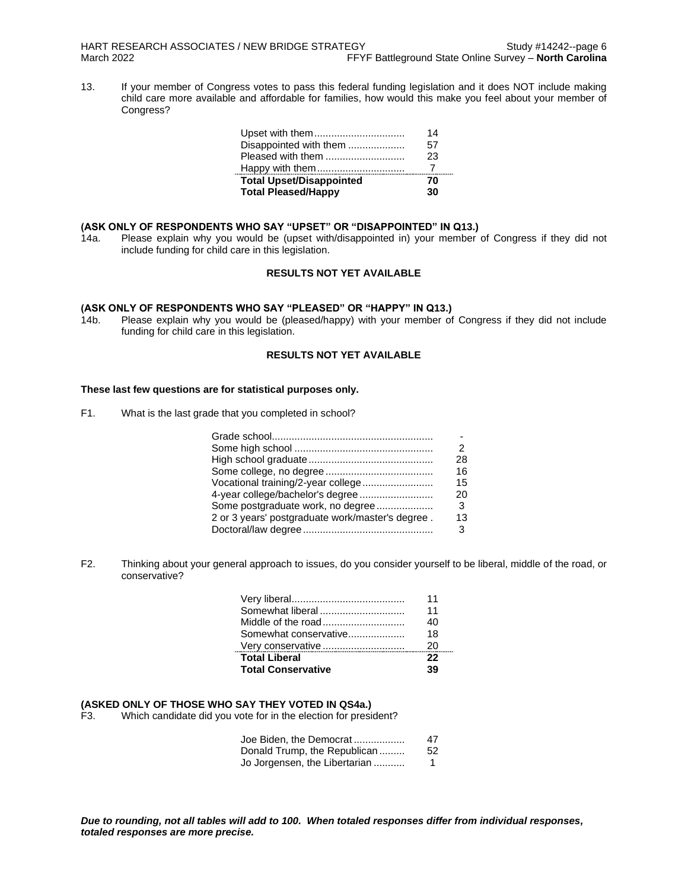13. If your member of Congress votes to pass this federal funding legislation and it does NOT include making child care more available and affordable for families, how would this make you feel about your member of Congress?

| Upset with them                 | 14 |
|---------------------------------|----|
| Disappointed with them          | 57 |
| Pleased with them               | 23 |
| Happy with them                 |    |
| <b>Total Upset/Disappointed</b> | 70 |
| <b>Total Pleased/Happy</b>      | 30 |

#### **(ASK ONLY OF RESPONDENTS WHO SAY "UPSET" OR "DISAPPOINTED" IN Q13.)**

14a. Please explain why you would be (upset with/disappointed in) your member of Congress if they did not include funding for child care in this legislation.

## **RESULTS NOT YET AVAILABLE**

#### **(ASK ONLY OF RESPONDENTS WHO SAY "PLEASED" OR "HAPPY" IN Q13.)**

14b. Please explain why you would be (pleased/happy) with your member of Congress if they did not include funding for child care in this legislation.

## **RESULTS NOT YET AVAILABLE**

### **These last few questions are for statistical purposes only.**

F1. What is the last grade that you completed in school?

|                                                  | 2   |
|--------------------------------------------------|-----|
|                                                  | 28  |
|                                                  | 16  |
| Vocational training/2-year college               | 15. |
| 4-year college/bachelor's degree                 | 20  |
| Some postgraduate work, no degree                | 3   |
| 2 or 3 years' postgraduate work/master's degree. | 13  |
|                                                  | 3   |

F2. Thinking about your general approach to issues, do you consider yourself to be liberal, middle of the road, or conservative?

|                           | 11 |
|---------------------------|----|
| Somewhat liberal          | 11 |
| Middle of the road        | 40 |
| Somewhat conservative     | 18 |
| Very conservative         | 20 |
| <b>Total Liberal</b>      | 22 |
| <b>Total Conservative</b> | 39 |

## **(ASKED ONLY OF THOSE WHO SAY THEY VOTED IN QS4a.)**

Which candidate did you vote for in the election for president?

| Joe Biden, the Democrat       | 47 |
|-------------------------------|----|
| Donald Trump, the Republican  | 52 |
| Jo Jorgensen, the Libertarian | 1  |

*Due to rounding, not all tables will add to 100. When totaled responses differ from individual responses, totaled responses are more precise.*